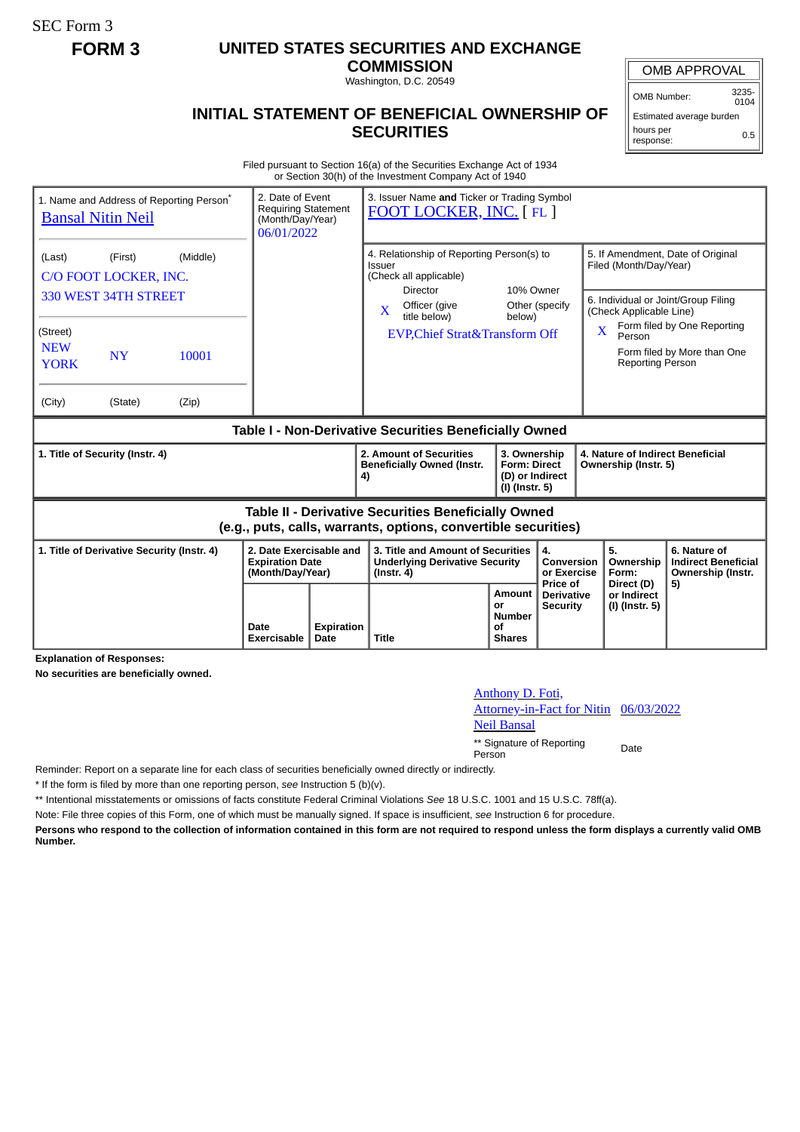SEC Form 3

## **FORM 3 UNITED STATES SECURITIES AND EXCHANGE**

**COMMISSION** Washington, D.C. 20549

## **INITIAL STATEMENT OF BENEFICIAL OWNERSHIP OF SECURITIES**

OMB APPROVAL

OMB Number: 3235-  $0104$ 

Estimated average burden hours per response: 0.5

Filed pursuant to Section 16(a) of the Securities Exchange Act of 1934 or Section 30(h) of the Investment Company Act of 1940

| 1. Name and Address of Reporting Person <sup>®</sup><br><b>Bansal Nitin Neil</b>                                             |                                              |                | 2. Date of Event<br><b>Requiring Statement</b><br>(Month/Day/Year)<br>06/01/2022 |    | 3. Issuer Name and Ticker or Trading Symbol<br>FOOT LOCKER, INC. [FL]                                  |                          |                                                                                |                                                                                                                                                                   |                         |                                                                 |  |
|------------------------------------------------------------------------------------------------------------------------------|----------------------------------------------|----------------|----------------------------------------------------------------------------------|----|--------------------------------------------------------------------------------------------------------|--------------------------|--------------------------------------------------------------------------------|-------------------------------------------------------------------------------------------------------------------------------------------------------------------|-------------------------|-----------------------------------------------------------------|--|
| (Last)                                                                                                                       | (Middle)<br>(First)<br>C/O FOOT LOCKER, INC. |                |                                                                                  |    | 4. Relationship of Reporting Person(s) to<br>Issuer<br>(Check all applicable)<br>10% Owner<br>Director |                          |                                                                                | 5. If Amendment, Date of Original<br>Filed (Month/Day/Year)                                                                                                       |                         |                                                                 |  |
| (Street)<br><b>NEW</b><br><b>YORK</b><br>(City)                                                                              | 330 WEST 34TH STREET<br><b>NY</b><br>(State) | 10001<br>(Zip) |                                                                                  |    | Officer (give<br>$\mathbf{x}$<br>title below)<br><b>EVP, Chief Strat&amp; Transform Off</b>            | Other (specify<br>below) |                                                                                | 6. Individual or Joint/Group Filing<br>(Check Applicable Line)<br>Form filed by One Reporting<br>Person<br>Form filed by More than One<br><b>Reporting Person</b> |                         |                                                                 |  |
| Table I - Non-Derivative Securities Beneficially Owned                                                                       |                                              |                |                                                                                  |    |                                                                                                        |                          |                                                                                |                                                                                                                                                                   |                         |                                                                 |  |
| 1. Title of Security (Instr. 4)                                                                                              |                                              |                |                                                                                  | 4) | 2. Amount of Securities<br><b>Beneficially Owned (Instr.</b>                                           | $(I)$ (Instr. 5)         | 3. Ownership<br><b>Form: Direct</b><br>Ownership (Instr. 5)<br>(D) or Indirect |                                                                                                                                                                   |                         | 4. Nature of Indirect Beneficial                                |  |
| <b>Table II - Derivative Securities Beneficially Owned</b><br>(e.g., puts, calls, warrants, options, convertible securities) |                                              |                |                                                                                  |    |                                                                                                        |                          |                                                                                |                                                                                                                                                                   |                         |                                                                 |  |
| 1. Title of Derivative Security (Instr. 4)                                                                                   |                                              |                | 2. Date Exercisable and<br><b>Expiration Date</b><br>(Month/Day/Year)            |    | 3. Title and Amount of Securities<br><b>Underlying Derivative Security</b><br>$($ lnstr. 4 $)$         |                          | $\mathbf{4}$<br>Conversion<br>or Exercise<br>Price of                          | 5.<br>Form:                                                                                                                                                       | Ownership<br>Direct (D) | 6. Nature of<br><b>Indirect Beneficial</b><br>Ownership (Instr. |  |
| Date<br>Exercisable                                                                                                          |                                              |                |                                                                                  |    |                                                                                                        |                          | Amount                                                                         |                                                                                                                                                                   | or Indirect             | 5)                                                              |  |

**Explanation of Responses:**

**No securities are beneficially owned.**

Anthony D. Foti,

Neil Bansal

06/03/2022

\*\* Signature of Reporting Person Date

Attorney-in-Fact for Nitin

Reminder: Report on a separate line for each class of securities beneficially owned directly or indirectly.

\* If the form is filed by more than one reporting person, *see* Instruction 5 (b)(v).

\*\* Intentional misstatements or omissions of facts constitute Federal Criminal Violations *See* 18 U.S.C. 1001 and 15 U.S.C. 78ff(a).

Note: File three copies of this Form, one of which must be manually signed. If space is insufficient, *see* Instruction 6 for procedure.

**Persons who respond to the collection of information contained in this form are not required to respond unless the form displays a currently valid OMB Number.**